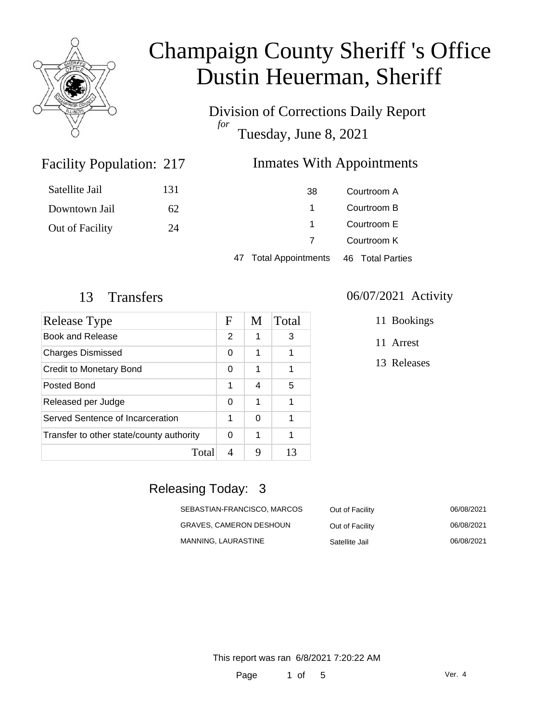

Division of Corrections Daily Report *for* Tuesday, June 8, 2021

### Facility Population: 217

### Inmates With Appointments

| Satellite Jail  | 131 | 38                        | Courtroom A      |
|-----------------|-----|---------------------------|------------------|
| Downtown Jail   | 62  |                           | Courtroom B      |
| Out of Facility | 24  |                           | Courtroom E      |
|                 |     |                           | Courtroom K      |
|                 |     | <b>Total Appointments</b> | 46 Total Parties |

| Release Type                             | F | M | Total |
|------------------------------------------|---|---|-------|
| Book and Release                         | 2 | 1 | 3     |
| <b>Charges Dismissed</b>                 | 0 | 1 |       |
| <b>Credit to Monetary Bond</b>           | 0 | 1 | 1     |
| Posted Bond                              | 1 | 4 | 5     |
| Released per Judge                       | 0 | 1 |       |
| Served Sentence of Incarceration         | 1 | 0 |       |
| Transfer to other state/county authority | 0 | 1 |       |
| Total                                    | 4 | 9 | 13    |

#### 13 Transfers 06/07/2021 Activity

11 Bookings

11 Arrest

13 Releases

### Releasing Today: 3

| SEBASTIAN-FRANCISCO, MARCOS | Out of Facility | 06/08/2021 |
|-----------------------------|-----------------|------------|
| GRAVES. CAMERON DESHOUN     | Out of Facility | 06/08/2021 |
| MANNING. LAURASTINE         | Satellite Jail  | 06/08/2021 |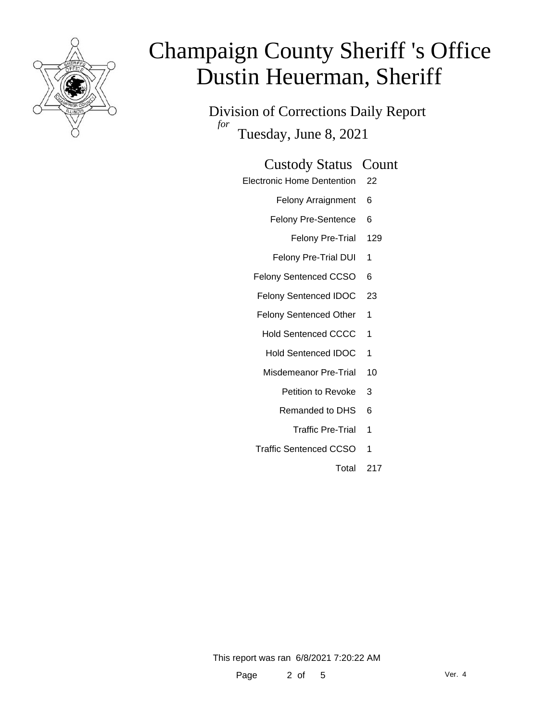

Division of Corrections Daily Report *for* Tuesday, June 8, 2021

Electronic Home Dentention 22

Felony Arraignment 6

Felony Pre-Sentence 6

Felony Pre-Trial 129

Felony Pre-Trial DUI 1

Felony Sentenced CCSO 6

Felony Sentenced IDOC 23

Felony Sentenced Other 1

Hold Sentenced CCCC 1

Hold Sentenced IDOC 1

Misdemeanor Pre-Trial 10

Petition to Revoke 3

Remanded to DHS 6

Traffic Pre-Trial 1

Traffic Sentenced CCSO 1

Total 217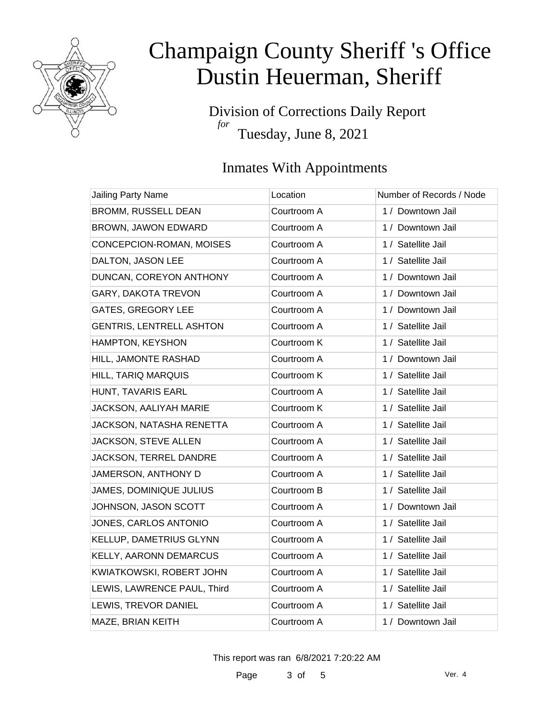

Division of Corrections Daily Report *for* Tuesday, June 8, 2021

### Inmates With Appointments

| Jailing Party Name              | Location    | Number of Records / Node |
|---------------------------------|-------------|--------------------------|
| <b>BROMM, RUSSELL DEAN</b>      | Courtroom A | 1 / Downtown Jail        |
| BROWN, JAWON EDWARD             | Courtroom A | 1 / Downtown Jail        |
| CONCEPCION-ROMAN, MOISES        | Courtroom A | 1 / Satellite Jail       |
| DALTON, JASON LEE               | Courtroom A | 1 / Satellite Jail       |
| DUNCAN, COREYON ANTHONY         | Courtroom A | 1 / Downtown Jail        |
| GARY, DAKOTA TREVON             | Courtroom A | 1 / Downtown Jail        |
| <b>GATES, GREGORY LEE</b>       | Courtroom A | 1 / Downtown Jail        |
| <b>GENTRIS, LENTRELL ASHTON</b> | Courtroom A | 1 / Satellite Jail       |
| HAMPTON, KEYSHON                | Courtroom K | 1 / Satellite Jail       |
| HILL, JAMONTE RASHAD            | Courtroom A | 1 / Downtown Jail        |
| HILL, TARIQ MARQUIS             | Courtroom K | 1 / Satellite Jail       |
| HUNT, TAVARIS EARL              | Courtroom A | 1 / Satellite Jail       |
| JACKSON, AALIYAH MARIE          | Courtroom K | 1 / Satellite Jail       |
| JACKSON, NATASHA RENETTA        | Courtroom A | 1 / Satellite Jail       |
| JACKSON, STEVE ALLEN            | Courtroom A | 1 / Satellite Jail       |
| JACKSON, TERREL DANDRE          | Courtroom A | 1 / Satellite Jail       |
| JAMERSON, ANTHONY D             | Courtroom A | 1 / Satellite Jail       |
| <b>JAMES, DOMINIQUE JULIUS</b>  | Courtroom B | 1 / Satellite Jail       |
| JOHNSON, JASON SCOTT            | Courtroom A | 1 / Downtown Jail        |
| JONES, CARLOS ANTONIO           | Courtroom A | 1 / Satellite Jail       |
| KELLUP, DAMETRIUS GLYNN         | Courtroom A | 1 / Satellite Jail       |
| KELLY, AARONN DEMARCUS          | Courtroom A | 1 / Satellite Jail       |
| KWIATKOWSKI, ROBERT JOHN        | Courtroom A | 1 / Satellite Jail       |
| LEWIS, LAWRENCE PAUL, Third     | Courtroom A | 1 / Satellite Jail       |
| LEWIS, TREVOR DANIEL            | Courtroom A | 1 / Satellite Jail       |
| MAZE, BRIAN KEITH               | Courtroom A | 1 / Downtown Jail        |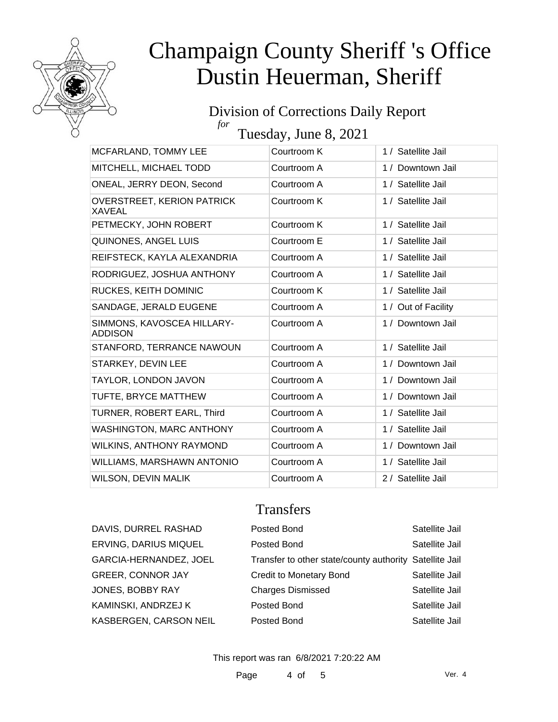

#### Division of Corrections Daily Report *for*

Tuesday, June 8, 2021

| MCFARLAND, TOMMY LEE                         | Courtroom K | 1 / Satellite Jail  |
|----------------------------------------------|-------------|---------------------|
| MITCHELL, MICHAEL TODD                       | Courtroom A | 1 / Downtown Jail   |
| ONEAL, JERRY DEON, Second                    | Courtroom A | 1 / Satellite Jail  |
| <b>OVERSTREET, KERION PATRICK</b><br>XAVEAL  | Courtroom K | 1 / Satellite Jail  |
| PETMECKY, JOHN ROBERT                        | Courtroom K | 1 / Satellite Jail  |
| QUINONES, ANGEL LUIS                         | Courtroom E | 1 / Satellite Jail  |
| REIFSTECK, KAYLA ALEXANDRIA                  | Courtroom A | 1 / Satellite Jail  |
| RODRIGUEZ, JOSHUA ANTHONY                    | Courtroom A | 1 / Satellite Jail  |
| RUCKES, KEITH DOMINIC                        | Courtroom K | 1 / Satellite Jail  |
| SANDAGE, JERALD EUGENE                       | Courtroom A | 1 / Out of Facility |
| SIMMONS, KAVOSCEA HILLARY-<br><b>ADDISON</b> | Courtroom A | 1 / Downtown Jail   |
| STANFORD, TERRANCE NAWOUN                    | Courtroom A | 1 / Satellite Jail  |
| STARKEY, DEVIN LEE                           | Courtroom A | 1 / Downtown Jail   |
| TAYLOR, LONDON JAVON                         | Courtroom A | 1 / Downtown Jail   |
| TUFTE, BRYCE MATTHEW                         | Courtroom A | 1 / Downtown Jail   |
| TURNER, ROBERT EARL, Third                   | Courtroom A | 1 / Satellite Jail  |
| <b>WASHINGTON, MARC ANTHONY</b>              | Courtroom A | 1 / Satellite Jail  |
| WILKINS, ANTHONY RAYMOND                     | Courtroom A | 1 / Downtown Jail   |
| WILLIAMS, MARSHAWN ANTONIO                   | Courtroom A | 1 / Satellite Jail  |
| <b>WILSON, DEVIN MALIK</b>                   | Courtroom A | 2 / Satellite Jail  |

### Transfers

| DAVIS, DURREL RASHAD         | Posted Bond                                             | Satellite Jail |
|------------------------------|---------------------------------------------------------|----------------|
| <b>ERVING, DARIUS MIQUEL</b> | Posted Bond                                             | Satellite Jail |
| GARCIA-HERNANDEZ, JOEL       | Transfer to other state/county authority Satellite Jail |                |
| <b>GREER, CONNOR JAY</b>     | <b>Credit to Monetary Bond</b>                          | Satellite Jail |
| JONES, BOBBY RAY             | <b>Charges Dismissed</b>                                | Satellite Jail |
| KAMINSKI, ANDRZEJ K          | Posted Bond                                             | Satellite Jail |
| KASBERGEN, CARSON NEIL       | Posted Bond                                             | Satellite Jail |